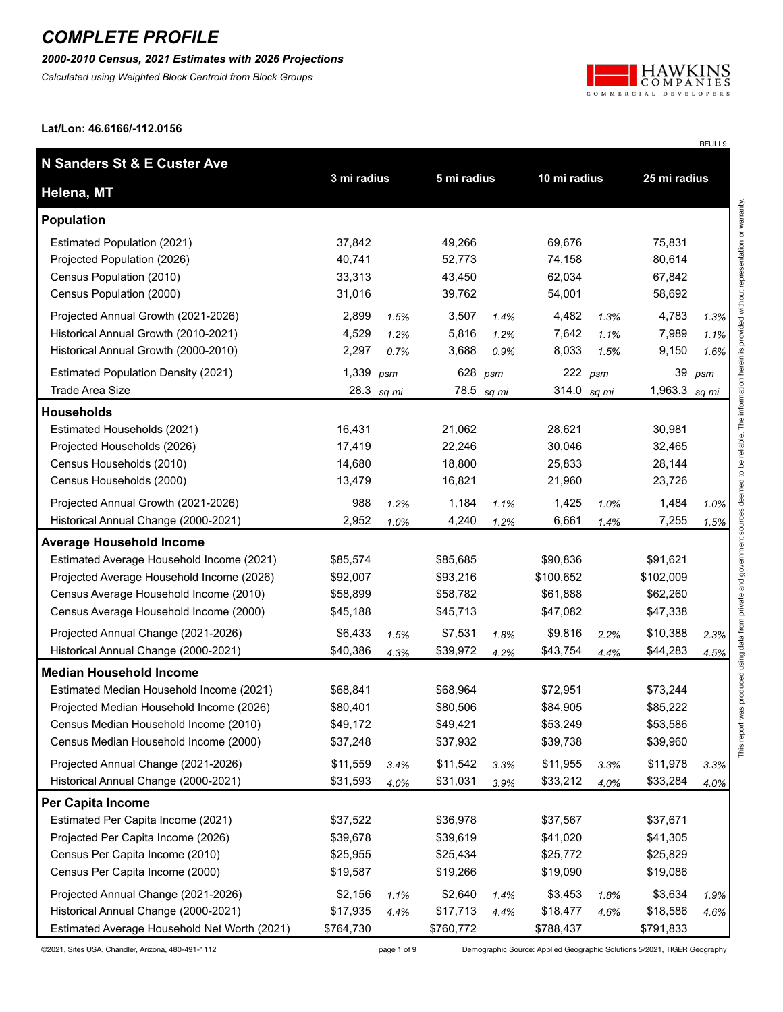*2000-2010 Census, 2021 Estimates with 2026 Projections*

*Calculated using Weighted Block Centroid from Block Groups*



RFULL9

**Lat/Lon: 46.6166/-112.0156**

| N Sanders St & E Custer Ave                  |             |              |             |            |              |      |                 |                                              |
|----------------------------------------------|-------------|--------------|-------------|------------|--------------|------|-----------------|----------------------------------------------|
| Helena, MT                                   | 3 mi radius |              | 5 mi radius |            | 10 mi radius |      | 25 mi radius    |                                              |
| <b>Population</b>                            |             |              |             |            |              |      |                 | provided without representation or warranty. |
| Estimated Population (2021)                  | 37,842      |              | 49,266      |            | 69,676       |      | 75,831          |                                              |
| Projected Population (2026)                  | 40,741      |              | 52,773      |            | 74,158       |      | 80,614          |                                              |
| Census Population (2010)                     | 33,313      |              | 43,450      |            | 62,034       |      | 67,842          |                                              |
| Census Population (2000)                     | 31,016      |              | 39,762      |            | 54,001       |      | 58,692          |                                              |
| Projected Annual Growth (2021-2026)          | 2,899       | 1.5%         | 3,507       | 1.4%       | 4,482        | 1.3% | 4,783           | 1.3%                                         |
| Historical Annual Growth (2010-2021)         | 4,529       | 1.2%         | 5,816       | 1.2%       | 7,642        | 1.1% | 7,989           | 1.1%                                         |
| Historical Annual Growth (2000-2010)         | 2,297       | 0.7%         | 3,688       | 0.9%       | 8,033        | 1.5% | 9,150           | 1.6%                                         |
| <b>Estimated Population Density (2021)</b>   | 1,339 psm   |              |             | 628 psm    | $222$ psm    |      | 39              | psm                                          |
| <b>Trade Area Size</b>                       |             | 28.3 $sq$ mi |             | 78.5 sq mi | 314.0 sq mi  |      | 1,963.3 sq $mi$ |                                              |
| <b>Households</b>                            |             |              |             |            |              |      |                 | ed to be reliable. The information herein is |
| Estimated Households (2021)                  | 16,431      |              | 21,062      |            | 28,621       |      | 30,981          |                                              |
| Projected Households (2026)                  | 17,419      |              | 22,246      |            | 30,046       |      | 32,465          |                                              |
| Census Households (2010)                     | 14,680      |              | 18,800      |            | 25,833       |      | 28,144          |                                              |
| Census Households (2000)                     | 13,479      |              | 16,821      |            | 21,960       |      | 23,726          |                                              |
| Projected Annual Growth (2021-2026)          | 988         | 1.2%         | 1,184       | 1.1%       | 1,425        | 1.0% | 1,484           | deem<br>1.0%                                 |
| Historical Annual Change (2000-2021)         | 2,952       | 1.0%         | 4,240       | 1.2%       | 6,661        | 1.4% | 7,255           | 1.5%                                         |
| <b>Average Household Income</b>              |             |              |             |            |              |      |                 |                                              |
| Estimated Average Household Income (2021)    | \$85,574    |              | \$85,685    |            | \$90,836     |      | \$91,621        |                                              |
| Projected Average Household Income (2026)    | \$92,007    |              | \$93,216    |            | \$100,652    |      | \$102,009       | private and government                       |
| Census Average Household Income (2010)       | \$58,899    |              | \$58,782    |            | \$61,888     |      | \$62,260        |                                              |
| Census Average Household Income (2000)       | \$45,188    |              | \$45,713    |            | \$47,082     |      | \$47,338        |                                              |
| Projected Annual Change (2021-2026)          | \$6,433     | 1.5%         | \$7,531     | 1.8%       | \$9,816      | 2.2% | \$10,388        | 2.3%                                         |
| Historical Annual Change (2000-2021)         | \$40,386    | 4.3%         | \$39,972    | 4.2%       | \$43,754     | 4.4% | \$44,283        | 4.5%                                         |
| <b>Median Household Income</b>               |             |              |             |            |              |      |                 | ort was produced using data from             |
| Estimated Median Household Income (2021)     | \$68,841    |              | \$68,964    |            | \$72,951     |      | \$73,244        |                                              |
| Projected Median Household Income (2026)     | \$80,401    |              | \$80,506    |            | \$84,905     |      | \$85,222        |                                              |
| Census Median Household Income (2010)        | \$49,172    |              | \$49,421    |            | \$53,249     |      | \$53,586        |                                              |
| Census Median Household Income (2000)        | \$37,248    |              | \$37,932    |            | \$39,738     |      | \$39,960        | This rep                                     |
| Projected Annual Change (2021-2026)          | \$11,559    | 3.4%         | \$11,542    | 3.3%       | \$11,955     | 3.3% | \$11,978        | 3.3%                                         |
| Historical Annual Change (2000-2021)         | \$31,593    | 4.0%         | \$31,031    | 3.9%       | \$33,212     | 4.0% | \$33,284        | 4.0%                                         |
| Per Capita Income                            |             |              |             |            |              |      |                 |                                              |
| Estimated Per Capita Income (2021)           | \$37,522    |              | \$36,978    |            | \$37,567     |      | \$37,671        |                                              |
| Projected Per Capita Income (2026)           | \$39,678    |              | \$39,619    |            | \$41,020     |      | \$41,305        |                                              |
| Census Per Capita Income (2010)              | \$25,955    |              | \$25,434    |            | \$25,772     |      | \$25,829        |                                              |
| Census Per Capita Income (2000)              | \$19,587    |              | \$19,266    |            | \$19,090     |      | \$19,086        |                                              |
| Projected Annual Change (2021-2026)          | \$2,156     | 1.1%         | \$2,640     | 1.4%       | \$3,453      | 1.8% | \$3,634         | 1.9%                                         |
| Historical Annual Change (2000-2021)         | \$17,935    | 4.4%         | \$17,713    | 4.4%       | \$18,477     | 4.6% | \$18,586        | 4.6%                                         |
| Estimated Average Household Net Worth (2021) | \$764,730   |              | \$760,772   |            | \$788,437    |      | \$791,833       |                                              |

©2021, Sites USA, Chandler, Arizona, 480-491-1112 page 1 of 9 Demographic Source: Applied Geographic Solutions 5/2021, TIGER Geography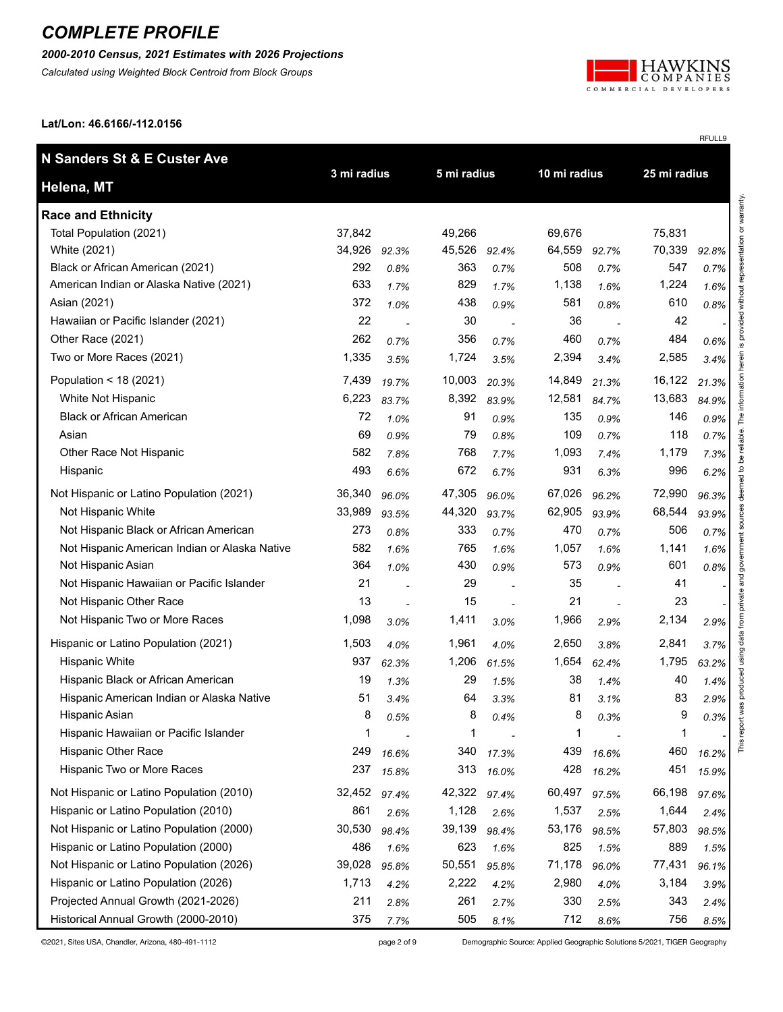#### *2000-2010 Census, 2021 Estimates with 2026 Projections*

*Calculated using Weighted Block Centroid from Block Groups*



RFULL9

**Lat/Lon: 46.6166/-112.0156**

| N Sanders St & E Custer Ave                   |             |       |             |                |              |       |              |       |
|-----------------------------------------------|-------------|-------|-------------|----------------|--------------|-------|--------------|-------|
| Helena, MT                                    | 3 mi radius |       | 5 mi radius |                | 10 mi radius |       | 25 mi radius |       |
| <b>Race and Ethnicity</b>                     |             |       |             |                |              |       |              |       |
| Total Population (2021)                       | 37,842      |       | 49,266      |                | 69,676       |       | 75,831       |       |
| White (2021)                                  | 34,926      | 92.3% | 45,526      | 92.4%          | 64,559       | 92.7% | 70,339       | 92.8% |
| Black or African American (2021)              | 292         | 0.8%  | 363         | 0.7%           | 508          | 0.7%  | 547          | 0.7%  |
| American Indian or Alaska Native (2021)       | 633         | 1.7%  | 829         | 1.7%           | 1,138        | 1.6%  | 1,224        | 1.6%  |
| Asian (2021)                                  | 372         | 1.0%  | 438         | 0.9%           | 581          | 0.8%  | 610          | 0.8%  |
| Hawaiian or Pacific Islander (2021)           | 22          |       | 30          | $\overline{a}$ | 36           |       | 42           |       |
| Other Race (2021)                             | 262         | 0.7%  | 356         | 0.7%           | 460          | 0.7%  | 484          | 0.6%  |
| Two or More Races (2021)                      | 1,335       | 3.5%  | 1,724       | 3.5%           | 2,394        | 3.4%  | 2,585        | 3.4%  |
| Population < $18(2021)$                       | 7,439       | 19.7% | 10,003      | 20.3%          | 14,849       | 21.3% | 16,122       | 21.3% |
| White Not Hispanic                            | 6,223       | 83.7% | 8,392       | 83.9%          | 12,581       | 84.7% | 13,683       | 84.9% |
| <b>Black or African American</b>              | 72          | 1.0%  | 91          | 0.9%           | 135          | 0.9%  | 146          | 0.9%  |
| Asian                                         | 69          | 0.9%  | 79          | 0.8%           | 109          | 0.7%  | 118          | 0.7%  |
| Other Race Not Hispanic                       | 582         | 7.8%  | 768         | 7.7%           | 1,093        | 7.4%  | 1,179        | 7.3%  |
| Hispanic                                      | 493         | 6.6%  | 672         | 6.7%           | 931          | 6.3%  | 996          | 6.2%  |
| Not Hispanic or Latino Population (2021)      | 36,340      | 96.0% | 47,305      | 96.0%          | 67,026       | 96.2% | 72,990       | 96.3% |
| Not Hispanic White                            | 33,989      | 93.5% | 44,320      | 93.7%          | 62,905       | 93.9% | 68,544       | 93.9% |
| Not Hispanic Black or African American        | 273         | 0.8%  | 333         | 0.7%           | 470          | 0.7%  | 506          | 0.7%  |
| Not Hispanic American Indian or Alaska Native | 582         | 1.6%  | 765         | 1.6%           | 1,057        | 1.6%  | 1,141        | 1.6%  |
| Not Hispanic Asian                            | 364         | 1.0%  | 430         | 0.9%           | 573          | 0.9%  | 601          | 0.8%  |
| Not Hispanic Hawaiian or Pacific Islander     | 21          |       | 29          |                | 35           |       | 41           |       |
| Not Hispanic Other Race                       | 13          |       | 15          | ÷,             | 21           |       | 23           |       |
| Not Hispanic Two or More Races                | 1,098       | 3.0%  | 1,411       | 3.0%           | 1,966        | 2.9%  | 2,134        | 2.9%  |
| Hispanic or Latino Population (2021)          | 1,503       | 4.0%  | 1,961       | 4.0%           | 2,650        | 3.8%  | 2,841        | 3.7%  |
| <b>Hispanic White</b>                         | 937         | 62.3% | 1,206       | 61.5%          | 1,654        | 62.4% | 1,795        | 63.2% |
| Hispanic Black or African American            | 19          | 1.3%  | 29          | 1.5%           | 38           | 1.4%  | 40           | 1.4%  |
| Hispanic American Indian or Alaska Native     | 51          | 3.4%  | 64          | 3.3%           | 81           | 3.1%  | 83           | 2.9%  |
| Hispanic Asian                                | 8           | 0.5%  | 8           | 0.4%           | 8            | 0.3%  | 9            | 0.3%  |
| Hispanic Hawaiian or Pacific Islander         | 1           |       | 1           |                | 1            |       | 1            |       |
| Hispanic Other Race                           | 249         | 16.6% | 340         | 17.3%          | 439          | 16.6% | 460          | 16.2% |
| Hispanic Two or More Races                    | 237         | 15.8% | 313         | 16.0%          | 428          | 16.2% | 451          | 15.9% |
| Not Hispanic or Latino Population (2010)      | 32,452      | 97.4% | 42,322      | 97.4%          | 60,497       | 97.5% | 66,198       | 97.6% |
| Hispanic or Latino Population (2010)          | 861         | 2.6%  | 1,128       | 2.6%           | 1,537        | 2.5%  | 1,644        | 2.4%  |
| Not Hispanic or Latino Population (2000)      | 30,530      | 98.4% | 39,139      | 98.4%          | 53,176       | 98.5% | 57,803       | 98.5% |
| Hispanic or Latino Population (2000)          | 486         | 1.6%  | 623         | 1.6%           | 825          | 1.5%  | 889          | 1.5%  |
| Not Hispanic or Latino Population (2026)      | 39,028      | 95.8% | 50,551      | 95.8%          | 71,178       | 96.0% | 77,431       | 96.1% |
| Hispanic or Latino Population (2026)          | 1,713       | 4.2%  | 2,222       | 4.2%           | 2,980        | 4.0%  | 3,184        | 3.9%  |
| Projected Annual Growth (2021-2026)           | 211         | 2.8%  | 261         | 2.7%           | 330          | 2.5%  | 343          | 2.4%  |
| Historical Annual Growth (2000-2010)          | 375         | 7.7%  | 505         | 8.1%           | 712          | 8.6%  | 756          | 8.5%  |

©2021, Sites USA, Chandler, Arizona, 480-491-1112 page 2 of 9 Demographic Source: Applied Geographic Solutions 5/2021, TIGER Geography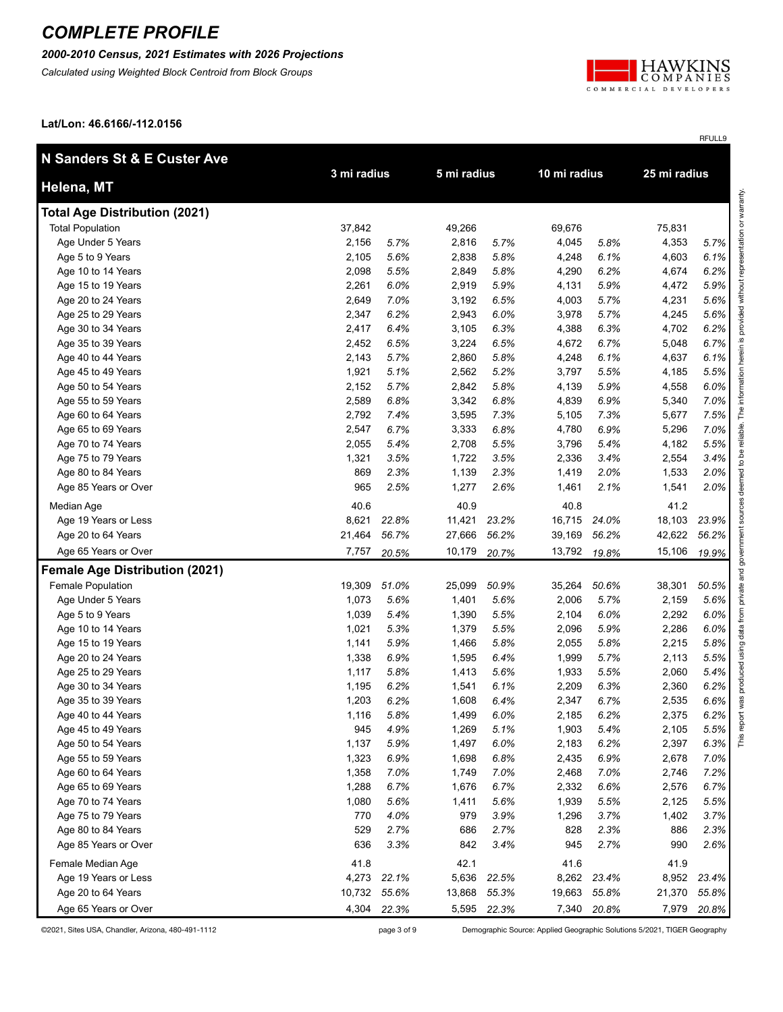#### *2000-2010 Census, 2021 Estimates with 2026 Projections*

*Calculated using Weighted Block Centroid from Block Groups*



RFULL9

**Lat/Lon: 46.6166/-112.0156**

| N Sanders St & E Custer Ave           |             |             |             |             |              |             |              |             |
|---------------------------------------|-------------|-------------|-------------|-------------|--------------|-------------|--------------|-------------|
| Helena, MT                            | 3 mi radius |             | 5 mi radius |             | 10 mi radius |             | 25 mi radius |             |
| <b>Total Age Distribution (2021)</b>  |             |             |             |             |              |             |              |             |
| <b>Total Population</b>               | 37,842      |             | 49,266      |             | 69,676       |             | 75,831       |             |
| Age Under 5 Years                     | 2,156       | 5.7%        | 2,816       | 5.7%        | 4,045        | 5.8%        | 4,353        | 5.7%        |
| Age 5 to 9 Years                      | 2,105       | 5.6%        | 2,838       | 5.8%        | 4,248        | 6.1%        | 4,603        | 6.1%        |
| Age 10 to 14 Years                    | 2,098       | 5.5%        | 2,849       | 5.8%        | 4,290        | 6.2%        | 4,674        | 6.2%        |
| Age 15 to 19 Years                    | 2,261       | 6.0%        | 2,919       | 5.9%        | 4,131        | 5.9%        | 4,472        | 5.9%        |
| Age 20 to 24 Years                    | 2,649       | 7.0%        | 3,192       | 6.5%        | 4,003        | 5.7%        | 4,231        | 5.6%        |
| Age 25 to 29 Years                    | 2,347       | 6.2%        | 2,943       | 6.0%        | 3,978        | 5.7%        | 4,245        | 5.6%        |
| Age 30 to 34 Years                    | 2,417       | 6.4%        | 3,105       | 6.3%        | 4,388        | 6.3%        | 4,702        | 6.2%        |
| Age 35 to 39 Years                    | 2,452       | 6.5%        | 3,224       | 6.5%        | 4,672        | 6.7%        | 5,048        | 6.7%        |
| Age 40 to 44 Years                    | 2,143       | 5.7%        | 2,860       | 5.8%        | 4,248        | 6.1%        | 4,637        | 6.1%        |
| Age 45 to 49 Years                    | 1,921       | 5.1%        | 2,562       | 5.2%        | 3,797        | 5.5%        | 4,185        | 5.5%        |
| Age 50 to 54 Years                    | 2,152       | 5.7%        | 2,842       | 5.8%        | 4,139        | 5.9%        | 4,558        | 6.0%        |
| Age 55 to 59 Years                    | 2,589       | 6.8%        | 3,342       | 6.8%        | 4,839        | 6.9%        | 5,340        | 7.0%        |
| Age 60 to 64 Years                    | 2,792       | 7.4%        | 3,595       | 7.3%        | 5,105        | 7.3%        | 5,677        | 7.5%        |
| Age 65 to 69 Years                    | 2,547       | 6.7%        | 3,333       | 6.8%        | 4,780        | 6.9%        | 5,296        | 7.0%        |
| Age 70 to 74 Years                    | 2,055       | 5.4%        | 2,708       | 5.5%        | 3,796        | 5.4%        | 4,182        | 5.5%        |
| Age 75 to 79 Years                    | 1,321       | 3.5%        | 1,722       | 3.5%        | 2,336        | 3.4%        | 2,554        | 3.4%        |
| Age 80 to 84 Years                    | 869         | 2.3%        | 1,139       | 2.3%        | 1,419        | 2.0%        | 1,533        | 2.0%        |
| Age 85 Years or Over                  | 965         | 2.5%        | 1,277       | 2.6%        | 1,461        | 2.1%        | 1,541        | 2.0%        |
| Median Age                            | 40.6        |             | 40.9        |             | 40.8         |             | 41.2         |             |
| Age 19 Years or Less                  | 8,621       | 22.8%       | 11,421      | 23.2%       | 16,715       | 24.0%       | 18,103       | 23.9%       |
| Age 20 to 64 Years                    | 21,464      | 56.7%       | 27,666      | 56.2%       | 39,169       | 56.2%       | 42,622       | 56.2%       |
| Age 65 Years or Over                  | 7,757       | 20.5%       | 10,179      | 20.7%       | 13,792       | 19.8%       | 15,106       | 19.9%       |
| <b>Female Age Distribution (2021)</b> |             |             |             |             |              |             |              |             |
| Female Population                     | 19,309      | 51.0%       | 25,099      | 50.9%       | 35,264       | 50.6%       | 38,301       | 50.5%       |
| Age Under 5 Years                     | 1,073       | 5.6%        | 1,401       | 5.6%        | 2,006        | 5.7%        | 2,159        | 5.6%        |
| Age 5 to 9 Years                      | 1,039       | 5.4%        | 1,390       | 5.5%        | 2,104        | 6.0%        | 2,292        | 6.0%        |
| Age 10 to 14 Years                    | 1,021       | 5.3%        | 1,379       | 5.5%        | 2,096        | 5.9%        | 2,286        | 6.0%        |
| Age 15 to 19 Years                    | 1,141       | 5.9%        | 1,466       | 5.8%        | 2,055        | 5.8%        | 2,215        | 5.8%        |
| Age 20 to 24 Years                    | 1,338       | 6.9%        | 1,595       | 6.4%        | 1,999        | 5.7%        | 2,113        | 5.5%        |
| Age 25 to 29 Years                    | 1,117       | 5.8%        | 1,413       | 5.6%        | 1,933        | 5.5%        | 2,060        | 5.4%        |
| Age 30 to 34 Years                    | 1,195       | 6.2%        | 1,541       | 6.1%        | 2,209        | 6.3%        | 2,360        | 6.2%        |
| Age 35 to 39 Years                    | 1,203       | 6.2%        | 1,608       | 6.4%        | 2,347        | 6.7%        | 2,535        | 6.6%        |
| Age 40 to 44 Years                    | 1,116       | 5.8%        | 1,499       | 6.0%        | 2,185        | 6.2%        | 2,375        | 6.2%        |
| Age 45 to 49 Years                    | 945         | 4.9%        | 1,269       | 5.1%        | 1,903        | 5.4%        | 2,105        | 5.5%        |
| Age 50 to 54 Years                    | 1,137       | 5.9%        | 1,497       | 6.0%        | 2,183        | 6.2%        | 2,397        | 6.3%        |
| Age 55 to 59 Years                    | 1,323       | 6.9%        | 1,698       | 6.8%        | 2,435        | 6.9%        | 2,678        | 7.0%        |
| Age 60 to 64 Years                    | 1,358       | 7.0%        | 1,749       | 7.0%        | 2,468        | 7.0%        | 2,746        | 7.2%        |
| Age 65 to 69 Years                    | 1,288       | 6.7%        | 1,676       | 6.7%        | 2,332        | 6.6%        | 2,576        | 6.7%        |
| Age 70 to 74 Years                    | 1,080       | 5.6%        | 1,411       | 5.6%        | 1,939        | 5.5%        | 2,125        | 5.5%        |
| Age 75 to 79 Years                    | 770         | 4.0%        | 979         | 3.9%        | 1,296        | 3.7%        | 1,402        | 3.7%        |
| Age 80 to 84 Years                    | 529         | 2.7%        | 686         | 2.7%        | 828          | 2.3%        | 886          | 2.3%        |
| Age 85 Years or Over                  | 636         | 3.3%        | 842         | 3.4%        | 945          | 2.7%        | 990          | 2.6%        |
| Female Median Age                     | 41.8        |             | 42.1        |             | 41.6         |             | 41.9         |             |
| Age 19 Years or Less                  | 4,273       | 22.1%       | 5,636       | 22.5%       | 8,262        | 23.4%       | 8,952        | 23.4%       |
| Age 20 to 64 Years                    | 10,732      | 55.6%       | 13,868      | 55.3%       | 19,663       | 55.8%       | 21,370       | 55.8%       |
| Age 65 Years or Over                  |             | 4,304 22.3% |             | 5,595 22.3% |              | 7,340 20.8% |              | 7,979 20.8% |

©2021, Sites USA, Chandler, Arizona, 480-491-1112 page 3 of 9 Demographic Source: Applied Geographic Solutions 5/2021, TIGER Geography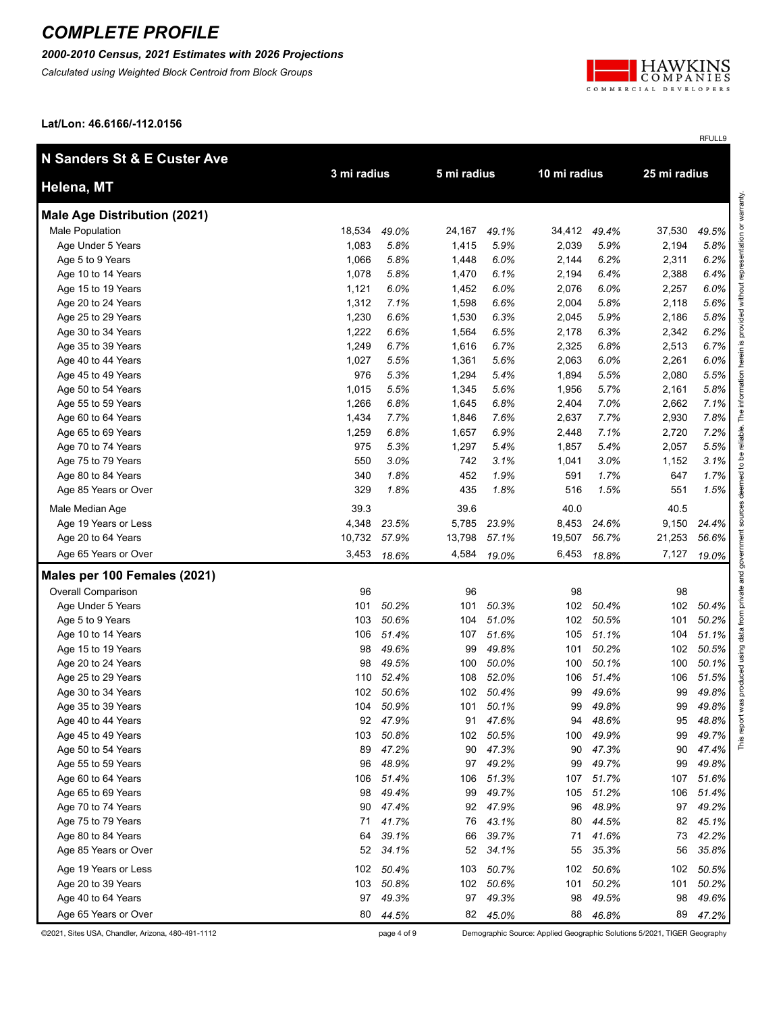*2000-2010 Census, 2021 Estimates with 2026 Projections*

*Calculated using Weighted Block Centroid from Block Groups*



RFULL9

**Lat/Lon: 46.6166/-112.0156**

| N Sanders St & E Custer Ave         | 3 mi radius |          | 5 mi radius |           | 10 mi radius |          | 25 mi radius |       |
|-------------------------------------|-------------|----------|-------------|-----------|--------------|----------|--------------|-------|
| Helena, MT                          |             |          |             |           |              |          |              |       |
| <b>Male Age Distribution (2021)</b> |             |          |             |           |              |          |              |       |
| Male Population                     | 18,534      | 49.0%    | 24,167      | 49.1%     | 34,412       | 49.4%    | 37,530       | 49.5% |
| Age Under 5 Years                   | 1,083       | 5.8%     | 1,415       | 5.9%      | 2,039        | 5.9%     | 2,194        | 5.8%  |
| Age 5 to 9 Years                    | 1,066       | 5.8%     | 1,448       | 6.0%      | 2,144        | 6.2%     | 2,311        | 6.2%  |
| Age 10 to 14 Years                  | 1,078       | 5.8%     | 1,470       | 6.1%      | 2,194        | 6.4%     | 2,388        | 6.4%  |
| Age 15 to 19 Years                  | 1,121       | 6.0%     | 1,452       | 6.0%      | 2,076        | 6.0%     | 2,257        | 6.0%  |
| Age 20 to 24 Years                  | 1,312       | 7.1%     | 1,598       | 6.6%      | 2,004        | 5.8%     | 2,118        | 5.6%  |
| Age 25 to 29 Years                  | 1,230       | 6.6%     | 1,530       | 6.3%      | 2,045        | 5.9%     | 2,186        | 5.8%  |
| Age 30 to 34 Years                  | 1,222       | 6.6%     | 1,564       | 6.5%      | 2,178        | 6.3%     | 2,342        | 6.2%  |
| Age 35 to 39 Years                  | 1,249       | 6.7%     | 1,616       | 6.7%      | 2,325        | 6.8%     | 2,513        | 6.7%  |
| Age 40 to 44 Years                  | 1,027       | 5.5%     | 1,361       | 5.6%      | 2,063        | 6.0%     | 2,261        | 6.0%  |
| Age 45 to 49 Years                  | 976         | 5.3%     | 1,294       | 5.4%      | 1,894        | 5.5%     | 2,080        | 5.5%  |
| Age 50 to 54 Years                  | 1,015       | 5.5%     | 1,345       | 5.6%      | 1,956        | 5.7%     | 2,161        | 5.8%  |
| Age 55 to 59 Years                  | 1,266       | 6.8%     | 1,645       | 6.8%      | 2,404        | 7.0%     | 2,662        | 7.1%  |
| Age 60 to 64 Years                  | 1,434       | 7.7%     | 1,846       | 7.6%      | 2,637        | 7.7%     | 2,930        | 7.8%  |
| Age 65 to 69 Years                  | 1,259       | 6.8%     | 1,657       | 6.9%      | 2,448        | 7.1%     | 2,720        | 7.2%  |
| Age 70 to 74 Years                  | 975         | 5.3%     | 1,297       | 5.4%      | 1,857        | 5.4%     | 2,057        | 5.5%  |
| Age 75 to 79 Years                  | 550         | 3.0%     | 742         | 3.1%      | 1,041        | 3.0%     | 1,152        | 3.1%  |
| Age 80 to 84 Years                  | 340         | 1.8%     | 452         | 1.9%      | 591          | 1.7%     | 647          | 1.7%  |
| Age 85 Years or Over                | 329         | 1.8%     | 435         | 1.8%      | 516          | 1.5%     | 551          | 1.5%  |
| Male Median Age                     | 39.3        |          | 39.6        |           | 40.0         |          | 40.5         |       |
| Age 19 Years or Less                | 4,348       | 23.5%    | 5,785       | 23.9%     | 8,453        | 24.6%    | 9,150        | 24.4% |
| Age 20 to 64 Years                  | 10,732      | 57.9%    | 13,798      | 57.1%     | 19,507       | 56.7%    | 21,253       | 56.6% |
| Age 65 Years or Over                | 3,453       | 18.6%    | 4,584       | 19.0%     | 6,453        | 18.8%    | 7,127        | 19.0% |
| Males per 100 Females (2021)        |             |          |             |           |              |          |              |       |
| Overall Comparison                  | 96          |          | 96          |           | 98           |          | 98           |       |
| Age Under 5 Years                   | 101         | 50.2%    | 101         | 50.3%     | 102          | 50.4%    | 102          | 50.4% |
| Age 5 to 9 Years                    | 103         | 50.6%    | 104         | 51.0%     | 102          | 50.5%    | 101          | 50.2% |
| Age 10 to 14 Years                  | 106         | 51.4%    | 107         | 51.6%     | 105          | 51.1%    | 104          | 51.1% |
| Age 15 to 19 Years                  | 98          | 49.6%    | 99          | 49.8%     | 101          | 50.2%    | 102          | 50.5% |
| Age 20 to 24 Years                  | 98          | 49.5%    | 100         | 50.0%     | 100          | 50.1%    | 100          | 50.1% |
| Age 25 to 29 Years                  | 110         | 52.4%    | 108         | 52.0%     | 106          | 51.4%    | 106          | 51.5% |
| Age 30 to 34 Years                  | 102         | 50.6%    | 102         | 50.4%     | 99           | 49.6%    | 99           | 49.8% |
| Age 35 to 39 Years                  | 104         | 50.9%    | 101         | 50.1%     | 99           | 49.8%    | 99           | 49.8% |
| Age 40 to 44 Years                  |             | 92 47.9% |             | 91 47.6%  | 94           | 48.6%    | 95           | 48.8% |
| Age 45 to 49 Years                  | 103         | 50.8%    |             | 102 50.5% | 100          | 49.9%    | 99           | 49.7% |
| Age 50 to 54 Years                  | 89          | 47.2%    | 90          | 47.3%     | 90           | 47.3%    | 90           | 47.4% |
| Age 55 to 59 Years                  | 96          | 48.9%    | 97          | 49.2%     | 99           | 49.7%    | 99           | 49.8% |
| Age 60 to 64 Years                  | 106         | 51.4%    | 106         | 51.3%     | 107          | 51.7%    | 107          | 51.6% |
| Age 65 to 69 Years                  | 98          | 49.4%    | 99          | 49.7%     | 105          | 51.2%    | 106          | 51.4% |
| Age 70 to 74 Years                  | 90          | 47.4%    | 92          | 47.9%     | 96           | 48.9%    | 97           | 49.2% |
| Age 75 to 79 Years                  | 71          | 41.7%    | 76          | 43.1%     | 80           | 44.5%    | 82           | 45.1% |
| Age 80 to 84 Years                  | 64          | 39.1%    | 66          | 39.7%     | 71           | 41.6%    | 73           | 42.2% |
| Age 85 Years or Over                | 52          | 34.1%    | 52          | 34.1%     | 55           | 35.3%    | 56           | 35.8% |
| Age 19 Years or Less                | 102         | 50.4%    | 103         | 50.7%     | 102          | 50.6%    | 102          | 50.5% |
| Age 20 to 39 Years                  | 103         | 50.8%    |             | 102 50.6% | 101          | 50.2%    | 101          | 50.2% |
| Age 40 to 64 Years                  | 97          | 49.3%    | 97          | 49.3%     | 98           | 49.5%    | 98           | 49.6% |
| Age 65 Years or Over                | 80          | 44.5%    |             | 82 45.0%  |              | 88 46.8% | 89           | 47.2% |

©2021, Sites USA, Chandler, Arizona, 480-491-1112 page 4 of 9 Demographic Source: Applied Geographic Solutions 5/2021, TIGER Geography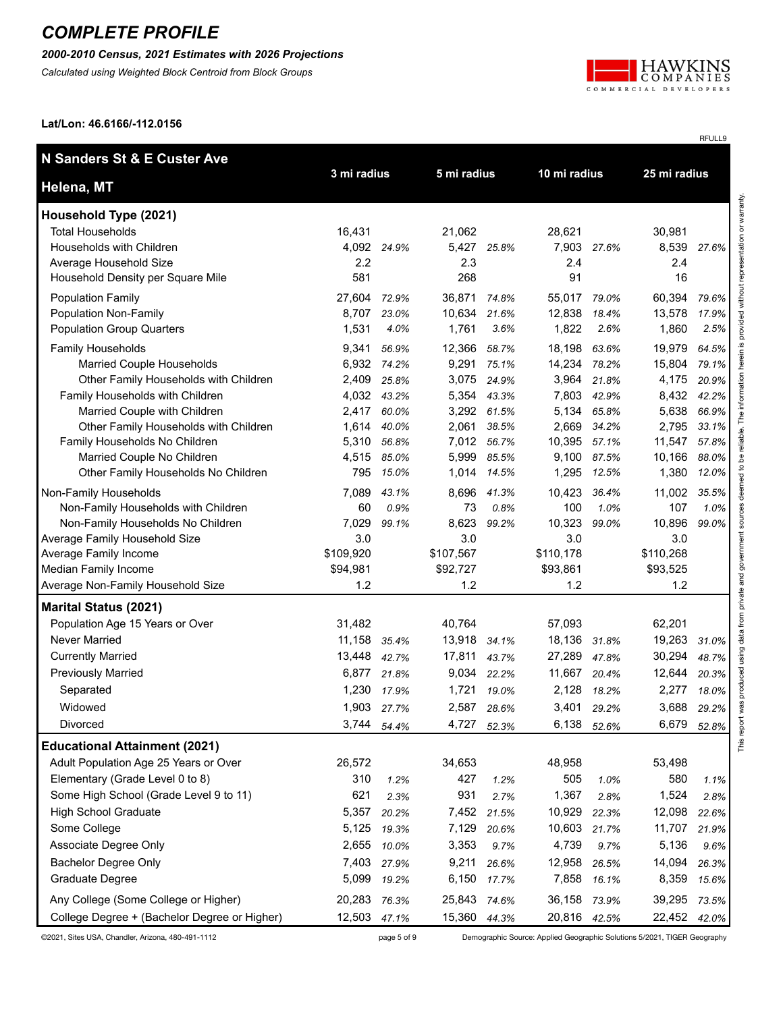#### *2000-2010 Census, 2021 Estimates with 2026 Projections*

*Calculated using Weighted Block Centroid from Block Groups*



RFULL9

**Lat/Lon: 46.6166/-112.0156**

| N Sanders St & E Custer Ave                                                   |                       |             |                       |             |                       |             | 25 mi radius          |         |
|-------------------------------------------------------------------------------|-----------------------|-------------|-----------------------|-------------|-----------------------|-------------|-----------------------|---------|
| Helena, MT                                                                    | 3 mi radius           |             | 5 mi radius           |             | 10 mi radius          |             |                       |         |
| Household Type (2021)                                                         |                       |             |                       |             |                       |             |                       |         |
| <b>Total Households</b>                                                       | 16,431                |             | 21,062                |             | 28,621                |             | 30,981                |         |
| Households with Children                                                      | 4,092 24.9%           |             | 5,427                 | 25.8%       | 7,903                 | 27.6%       | 8,539                 | 27.6%   |
| Average Household Size                                                        | 2.2                   |             | 2.3                   |             | 2.4                   |             | 2.4                   |         |
| Household Density per Square Mile                                             | 581                   |             | 268                   |             | 91                    |             | 16                    |         |
| <b>Population Family</b>                                                      | 27,604                | 72.9%       | 36,871                | 74.8%       | 55,017 79.0%          |             | 60,394                | 79.6%   |
| <b>Population Non-Family</b>                                                  | 8,707                 | 23.0%       | 10,634                | 21.6%       | 12,838                | 18.4%       | 13,578                | 17.9%   |
| <b>Population Group Quarters</b>                                              | 1,531                 | 4.0%        | 1,761                 | 3.6%        | 1,822                 | 2.6%        | 1,860                 | 2.5%    |
| Family Households                                                             | 9,341                 | 56.9%       | 12,366                | 58.7%       | 18,198                | 63.6%       | 19,979                | 64.5%   |
| Married Couple Households                                                     | 6,932                 | 74.2%       | 9,291                 | 75.1%       | 14,234 78.2%          |             | 15,804                | 79.1%   |
| Other Family Households with Children                                         | 2,409                 | 25.8%       | 3,075                 | 24.9%       | 3,964                 | 21.8%       | 4,175                 | 20.9%   |
| Family Households with Children                                               | 4,032                 | 43.2%       | 5,354                 | 43.3%       | 7,803                 | 42.9%       | 8,432                 | 42.2%   |
| Married Couple with Children                                                  | 2,417                 | 60.0%       |                       | 3,292 61.5% | 5,134                 | 65.8%       | 5,638                 | 66.9%   |
| Other Family Households with Children                                         | 1,614                 | 40.0%       | 2,061                 | 38.5%       | 2,669                 | 34.2%       | 2,795                 | 33.1%   |
| Family Households No Children                                                 | 5,310                 | 56.8%       | 7,012                 | 56.7%       | 10,395 57.1%          |             | 11,547                | 57.8%   |
| Married Couple No Children                                                    | 4,515                 | 85.0%       | 5,999                 | 85.5%       | 9,100                 | 87.5%       | 10,166                | 88.0%   |
| Other Family Households No Children                                           | 795                   | 15.0%       | 1,014                 | 14.5%       | 1,295                 | 12.5%       | 1,380                 | 12.0%   |
| Non-Family Households                                                         | 7,089                 | 43.1%       |                       | 8,696 41.3% | 10,423                | 36.4%       | 11,002                | 35.5%   |
| Non-Family Households with Children                                           | 60                    | 0.9%        | 73                    | 0.8%        | 100                   | 1.0%        | 107                   | 1.0%    |
| Non-Family Households No Children                                             | 7,029                 | 99.1%       | 8,623                 | 99.2%       | 10,323                | 99.0%       | 10,896                | 99.0%   |
| Average Family Household Size                                                 | 3.0                   |             | 3.0                   |             | 3.0                   |             | 3.0                   |         |
| Average Family Income<br>Median Family Income                                 | \$109,920<br>\$94,981 |             | \$107,567<br>\$92,727 |             | \$110,178<br>\$93,861 |             | \$110,268<br>\$93,525 |         |
| Average Non-Family Household Size                                             | 1.2                   |             | 1.2                   |             | 1.2                   |             | 1.2                   |         |
| <b>Marital Status (2021)</b>                                                  |                       |             |                       |             |                       |             |                       |         |
| Population Age 15 Years or Over                                               | 31,482                |             | 40,764                |             | 57,093                |             | 62,201                |         |
| Never Married                                                                 | 11,158                | 35.4%       | 13,918                | 34.1%       | 18,136                | 31.8%       | 19,263                | 31.0%   |
| <b>Currently Married</b>                                                      | 13,448                | 42.7%       | 17,811                | 43.7%       | 27,289                | 47.8%       | 30,294                | 48.7%   |
| <b>Previously Married</b>                                                     | 6,877                 | 21.8%       | 9,034                 | 22.2%       | 11,667                | 20.4%       | 12,644                | 20.3%   |
| Separated                                                                     | 1,230                 | 17.9%       | 1,721                 | 19.0%       | 2,128                 | 18.2%       | 2,277                 | 18.0%   |
| Widowed                                                                       |                       | 1,903 27.7% |                       | 2,587 28.6% |                       | 3,401 29.2% | 3,688                 | 29.2%   |
| Divorced                                                                      | 3,744                 |             | 4,727                 |             | 6,138                 |             | 6,679                 |         |
|                                                                               |                       | 54.4%       |                       | 52.3%       |                       | 52.6%       |                       | 52.8%   |
| <b>Educational Attainment (2021)</b><br>Adult Population Age 25 Years or Over |                       |             |                       |             |                       |             |                       |         |
|                                                                               | 26,572                |             | 34,653                |             | 48,958                |             | 53,498                |         |
| Elementary (Grade Level 0 to 8)                                               | 310                   | 1.2%        | 427                   | 1.2%        | 505                   | 1.0%        | 580                   | $1.1\%$ |
| Some High School (Grade Level 9 to 11)                                        | 621                   | 2.3%        | 931                   | 2.7%        | 1,367                 | 2.8%        | 1,524                 | 2.8%    |
| <b>High School Graduate</b>                                                   | 5,357                 | 20.2%       | 7,452                 | 21.5%       | 10,929                | 22.3%       | 12,098                | 22.6%   |
| Some College                                                                  | 5,125                 | 19.3%       | 7,129                 | 20.6%       | 10,603                | 21.7%       | 11,707                | 21.9%   |
| Associate Degree Only                                                         | 2,655                 | 10.0%       | 3,353                 | 9.7%        | 4,739                 | 9.7%        | 5,136                 | 9.6%    |
| <b>Bachelor Degree Only</b>                                                   | 7,403                 | 27.9%       | 9,211                 | 26.6%       | 12,958                | 26.5%       | 14,094                | 26.3%   |
| Graduate Degree                                                               | 5,099                 | 19.2%       | 6,150                 | 17.7%       | 7,858                 | 16.1%       | 8,359                 | 15.6%   |
| Any College (Some College or Higher)                                          | 20,283                | 76.3%       | 25,843                | 74.6%       | 36,158                | 73.9%       | 39,295                | 73.5%   |
| College Degree + (Bachelor Degree or Higher)                                  | 12,503 47.1%          |             | 15,360 44.3%          |             | 20,816 42.5%          |             | 22,452                | 42.0%   |

©2021, Sites USA, Chandler, Arizona, 480-491-1112 page 5 of 9 Demographic Source: Applied Geographic Solutions 5/2021, TIGER Geography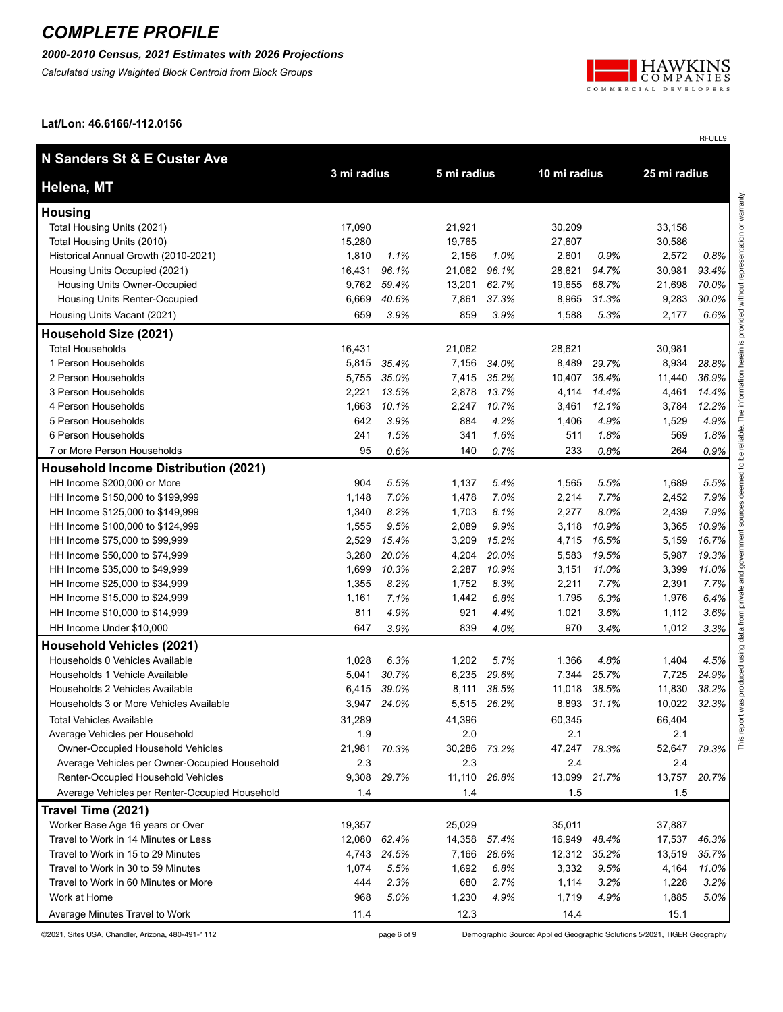#### *2000-2010 Census, 2021 Estimates with 2026 Projections*

*Calculated using Weighted Block Centroid from Block Groups*



RFULL9

**Lat/Lon: 46.6166/-112.0156**

| N Sanders St & E Custer Ave                    |             |       |             |             | 10 mi radius |       | 25 mi radius |       |
|------------------------------------------------|-------------|-------|-------------|-------------|--------------|-------|--------------|-------|
| Helena, MT                                     | 3 mi radius |       | 5 mi radius |             |              |       |              |       |
| <b>Housing</b>                                 |             |       |             |             |              |       |              |       |
| Total Housing Units (2021)                     | 17,090      |       | 21,921      |             | 30,209       |       | 33,158       |       |
| Total Housing Units (2010)                     | 15,280      |       | 19,765      |             | 27,607       |       | 30,586       |       |
| Historical Annual Growth (2010-2021)           | 1,810       | 1.1%  | 2,156       | 1.0%        | 2,601        | 0.9%  | 2,572        | 0.8%  |
| Housing Units Occupied (2021)                  | 16,431      | 96.1% | 21,062      | 96.1%       | 28,621       | 94.7% | 30,981       | 93.4% |
| Housing Units Owner-Occupied                   | 9,762       | 59.4% | 13,201      | 62.7%       | 19,655       | 68.7% | 21,698       | 70.0% |
| Housing Units Renter-Occupied                  | 6,669       | 40.6% | 7,861       | 37.3%       | 8,965        | 31.3% | 9,283        | 30.0% |
| Housing Units Vacant (2021)                    | 659         | 3.9%  | 859         | 3.9%        | 1,588        | 5.3%  | 2,177        | 6.6%  |
| Household Size (2021)                          |             |       |             |             |              |       |              |       |
| <b>Total Households</b>                        | 16,431      |       | 21,062      |             | 28,621       |       | 30,981       |       |
| 1 Person Households                            | 5,815       | 35.4% | 7,156       | 34.0%       | 8,489        | 29.7% | 8,934        | 28.8% |
| 2 Person Households                            | 5,755       | 35.0% | 7,415       | 35.2%       | 10,407       | 36.4% | 11,440       | 36.9% |
| 3 Person Households                            | 2,221       | 13.5% | 2,878       | 13.7%       | 4,114        | 14.4% | 4,461        | 14.4% |
| 4 Person Households                            | 1,663       | 10.1% | 2,247       | 10.7%       | 3,461        | 12.1% | 3,784        | 12.2% |
| 5 Person Households                            | 642         | 3.9%  | 884         | 4.2%        | 1,406        | 4.9%  | 1,529        | 4.9%  |
| 6 Person Households                            | 241         | 1.5%  | 341         | 1.6%        | 511          | 1.8%  | 569          | 1.8%  |
| 7 or More Person Households                    | 95          | 0.6%  | 140         | 0.7%        | 233          | 0.8%  | 264          | 0.9%  |
| <b>Household Income Distribution (2021)</b>    |             |       |             |             |              |       |              |       |
| HH Income \$200,000 or More                    | 904         | 5.5%  | 1,137       | 5.4%        | 1,565        | 5.5%  | 1,689        | 5.5%  |
| HH Income \$150,000 to \$199,999               | 1,148       | 7.0%  | 1,478       | 7.0%        | 2,214        | 7.7%  | 2,452        | 7.9%  |
| HH Income \$125,000 to \$149,999               | 1,340       | 8.2%  | 1,703       | 8.1%        | 2,277        | 8.0%  | 2,439        | 7.9%  |
| HH Income \$100,000 to \$124,999               | 1,555       | 9.5%  | 2,089       | 9.9%        | 3,118        | 10.9% | 3,365        | 10.9% |
| HH Income \$75,000 to \$99,999                 | 2,529       | 15.4% | 3,209       | 15.2%       | 4,715        | 16.5% | 5,159        | 16.7% |
| HH Income \$50,000 to \$74,999                 | 3,280       | 20.0% | 4,204       | 20.0%       | 5,583        | 19.5% | 5,987        | 19.3% |
| HH Income \$35,000 to \$49,999                 | 1,699       | 10.3% | 2,287       | 10.9%       | 3,151        | 11.0% | 3,399        | 11.0% |
| HH Income \$25,000 to \$34,999                 | 1,355       | 8.2%  | 1,752       | 8.3%        | 2,211        | 7.7%  | 2,391        | 7.7%  |
| HH Income \$15,000 to \$24,999                 | 1,161       | 7.1%  | 1,442       | 6.8%        | 1,795        | 6.3%  | 1,976        | 6.4%  |
| HH Income \$10,000 to \$14,999                 | 811         | 4.9%  | 921         | 4.4%        | 1,021        | 3.6%  | 1,112        | 3.6%  |
| HH Income Under \$10,000                       | 647         | 3.9%  | 839         | 4.0%        | 970          | 3.4%  | 1,012        | 3.3%  |
| <b>Household Vehicles (2021)</b>               |             |       |             |             |              |       |              |       |
| Households 0 Vehicles Available                | 1,028       | 6.3%  | 1,202       | 5.7%        | 1,366        | 4.8%  | 1,404        | 4.5%  |
| Households 1 Vehicle Available                 | 5,041       | 30.7% | 6,235       | 29.6%       | 7,344        | 25.7% | 7,725        | 24.9% |
| Households 2 Vehicles Available                | 6,415       | 39.0% | 8,111       | 38.5%       | 11,018       | 38.5% | 11,830       | 38.2% |
| Households 3 or More Vehicles Available        | 3,947       | 24.0% |             | 5,515 26.2% | 8,893        | 31.1% | 10,022       | 32.3% |
| <b>Total Vehicles Available</b>                | 31.289      |       | 41.396      |             | 60,345       |       | 66,404       |       |
| Average Vehicles per Household                 | 1.9         |       | 2.0         |             | 2.1          |       | 2.1          |       |
| <b>Owner-Occupied Household Vehicles</b>       | 21,981      | 70.3% | 30,286      | 73.2%       | 47,247 78.3% |       | 52,647       | 79.3% |
| Average Vehicles per Owner-Occupied Household  | 2.3         |       | 2.3         |             | 2.4          |       | 2.4          |       |
| Renter-Occupied Household Vehicles             | 9,308       | 29.7% | 11,110      | 26.8%       | 13,099       | 21.7% | 13,757       | 20.7% |
| Average Vehicles per Renter-Occupied Household | 1.4         |       | 1.4         |             | 1.5          |       | 1.5          |       |
| Travel Time (2021)                             |             |       |             |             |              |       |              |       |
| Worker Base Age 16 years or Over               | 19,357      |       | 25,029      |             | 35,011       |       | 37,887       |       |
| Travel to Work in 14 Minutes or Less           | 12,080      | 62.4% | 14,358      | 57.4%       | 16,949       | 48.4% | 17,537       | 46.3% |
| Travel to Work in 15 to 29 Minutes             | 4,743       | 24.5% | 7,166       | 28.6%       | 12,312 35.2% |       | 13,519       | 35.7% |
| Travel to Work in 30 to 59 Minutes             | 1,074       | 5.5%  | 1,692       | 6.8%        | 3,332        | 9.5%  | 4,164        | 11.0% |
| Travel to Work in 60 Minutes or More           | 444         | 2.3%  | 680         | 2.7%        | 1,114        | 3.2%  | 1,228        | 3.2%  |
| Work at Home                                   | 968         | 5.0%  | 1,230       | 4.9%        | 1,719        | 4.9%  | 1,885        | 5.0%  |
| Average Minutes Travel to Work                 | 11.4        |       | 12.3        |             | 14.4         |       | 15.1         |       |

©2021, Sites USA, Chandler, Arizona, 480-491-1112 page 6 of 9 Demographic Source: Applied Geographic Solutions 5/2021, TIGER Geography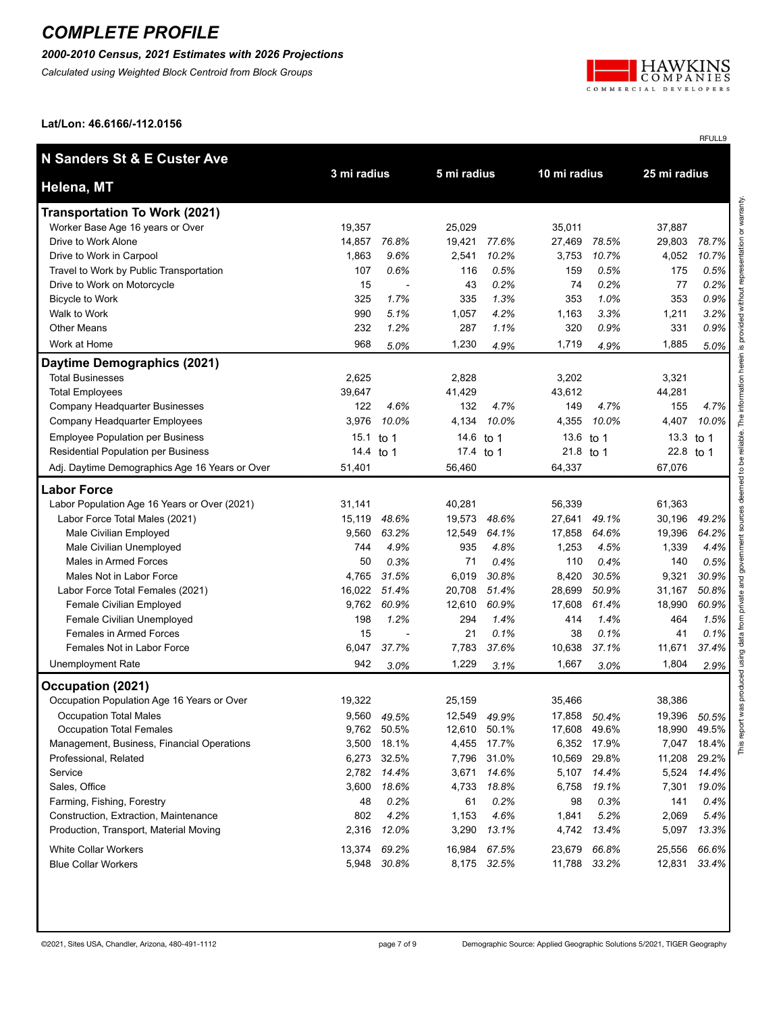#### *2000-2010 Census, 2021 Estimates with 2026 Projections*

*Calculated using Weighted Block Centroid from Block Groups*



RFULL9

**Lat/Lon: 46.6166/-112.0156**

| <b>N Sanders St &amp; E Custer Ave</b>         | 3 mi radius |             | 5 mi radius  |             | 10 mi radius |       | 25 mi radius |       |
|------------------------------------------------|-------------|-------------|--------------|-------------|--------------|-------|--------------|-------|
| Helena, MT                                     |             |             |              |             |              |       |              |       |
| <b>Transportation To Work (2021)</b>           |             |             |              |             |              |       |              |       |
| Worker Base Age 16 years or Over               | 19,357      |             | 25,029       |             | 35,011       |       | 37,887       |       |
| Drive to Work Alone                            | 14.857      | 76.8%       | 19,421       | 77.6%       | 27,469       | 78.5% | 29,803       | 78.7% |
| Drive to Work in Carpool                       | 1,863       | 9.6%        | 2,541        | 10.2%       | 3,753        | 10.7% | 4,052        | 10.7% |
| Travel to Work by Public Transportation        | 107         | 0.6%        | 116          | 0.5%        | 159          | 0.5%  | 175          | 0.5%  |
| Drive to Work on Motorcycle                    | 15          |             | 43           | 0.2%        | 74           | 0.2%  | 77           | 0.2%  |
| <b>Bicycle to Work</b>                         | 325         | 1.7%        | 335          | 1.3%        | 353          | 1.0%  | 353          | 0.9%  |
| Walk to Work                                   | 990         | 5.1%        | 1,057        | 4.2%        | 1,163        | 3.3%  | 1,211        | 3.2%  |
| <b>Other Means</b>                             | 232         | 1.2%        | 287          | 1.1%        | 320          | 0.9%  | 331          | 0.9%  |
| Work at Home                                   | 968         | 5.0%        | 1,230        | 4.9%        | 1,719        | 4.9%  | 1,885        | 5.0%  |
| Daytime Demographics (2021)                    |             |             |              |             |              |       |              |       |
| <b>Total Businesses</b>                        | 2,625       |             | 2,828        |             | 3,202        |       | 3,321        |       |
| <b>Total Employees</b>                         | 39,647      |             | 41,429       |             | 43,612       |       | 44,281       |       |
| Company Headquarter Businesses                 | 122         | 4.6%        | 132          | 4.7%        | 149          | 4.7%  | 155          | 4.7%  |
| Company Headquarter Employees                  | 3,976       | 10.0%       | 4,134        | 10.0%       | 4,355        | 10.0% | 4,407        | 10.0% |
| <b>Employee Population per Business</b>        | 15.1        | to 1        | 14.6         | to 1        | 13.6 to 1    |       | 13.3         | to 1  |
| Residential Population per Business            | 14.4 to 1   |             | 17.4 to 1    |             | 21.8 to 1    |       | 22.8         | to 1  |
| Adj. Daytime Demographics Age 16 Years or Over | 51,401      |             | 56,460       |             | 64,337       |       | 67,076       |       |
| <b>Labor Force</b>                             |             |             |              |             |              |       |              |       |
| Labor Population Age 16 Years or Over (2021)   | 31,141      |             | 40,281       |             | 56,339       |       | 61,363       |       |
| Labor Force Total Males (2021)                 | 15,119      | 48.6%       | 19,573       | 48.6%       | 27,641       | 49.1% | 30,196       | 49.2% |
| Male Civilian Employed                         | 9,560       | 63.2%       | 12,549       | 64.1%       | 17,858       | 64.6% | 19,396       | 64.2% |
| Male Civilian Unemployed                       | 744         | 4.9%        | 935          | 4.8%        | 1,253        | 4.5%  | 1,339        | 4.4%  |
| Males in Armed Forces                          | 50          | 0.3%        | 71           | 0.4%        | 110          | 0.4%  | 140          | 0.5%  |
| Males Not in Labor Force                       | 4,765       | 31.5%       | 6,019        | 30.8%       | 8,420        | 30.5% | 9,321        | 30.9% |
| Labor Force Total Females (2021)               | 16,022      | 51.4%       | 20,708       | 51.4%       | 28,699       | 50.9% | 31,167       | 50.8% |
| <b>Female Civilian Employed</b>                | 9,762       | 60.9%       | 12,610       | 60.9%       | 17,608       | 61.4% | 18,990       | 60.9% |
| Female Civilian Unemployed                     | 198         | 1.2%        | 294          | 1.4%        | 414          | 1.4%  | 464          | 1.5%  |
| Females in Armed Forces                        | 15          |             | 21           | 0.1%        | 38           | 0.1%  | 41           | 0.1%  |
| Females Not in Labor Force                     | 6,047       | 37.7%       | 7,783        | 37.6%       | 10,638       | 37.1% | 11,671       | 37.4% |
| Unemployment Rate                              | 942         | 3.0%        | 1,229        | 3.1%        | 1,667        | 3.0%  | 1,804        | 2.9%  |
| Occupation (2021)                              |             |             |              |             |              |       |              |       |
| Occupation Population Age 16 Years or Over     | 19,322      |             | 25,159       |             | 35,466       |       | 38,386       |       |
| <b>Occupation Total Males</b>                  | 9,560       | 49.5%       | 12,549       | 49.9%       | 17,858       | 50.4% | 19,396       | 50.5% |
| <b>Occupation Total Females</b>                |             | 9,762 50.5% | 12,610 50.1% |             | 17,608       | 49.6% | 18,990       | 49.5% |
| Management, Business, Financial Operations     | 3,500       | 18.1%       | 4,455        | 17.7%       | 6,352        | 17.9% | 7,047        | 18.4% |
| Professional, Related                          | 6,273       | 32.5%       | 7,796        | 31.0%       | 10,569       | 29.8% | 11,208       | 29.2% |
| Service                                        | 2,782       | 14.4%       | 3,671        | 14.6%       | 5,107        | 14.4% | 5,524        | 14.4% |
| Sales, Office                                  | 3,600       | 18.6%       | 4,733        | 18.8%       | 6,758        | 19.1% | 7,301        | 19.0% |
| Farming, Fishing, Forestry                     | 48          | 0.2%        | 61           | 0.2%        | 98           | 0.3%  | 141          | 0.4%  |
| Construction, Extraction, Maintenance          | 802         | 4.2%        | 1,153        | 4.6%        | 1,841        | 5.2%  | 2,069        | 5.4%  |
| Production, Transport, Material Moving         | 2,316       | 12.0%       | 3,290        | 13.1%       | 4,742        | 13.4% | 5,097        | 13.3% |
| <b>White Collar Workers</b>                    | 13,374      | 69.2%       | 16,984       | 67.5%       | 23,679       | 66.8% | 25,556       | 66.6% |
| <b>Blue Collar Workers</b>                     | 5,948       | 30.8%       |              | 8,175 32.5% | 11,788       | 33.2% | 12,831       | 33.4% |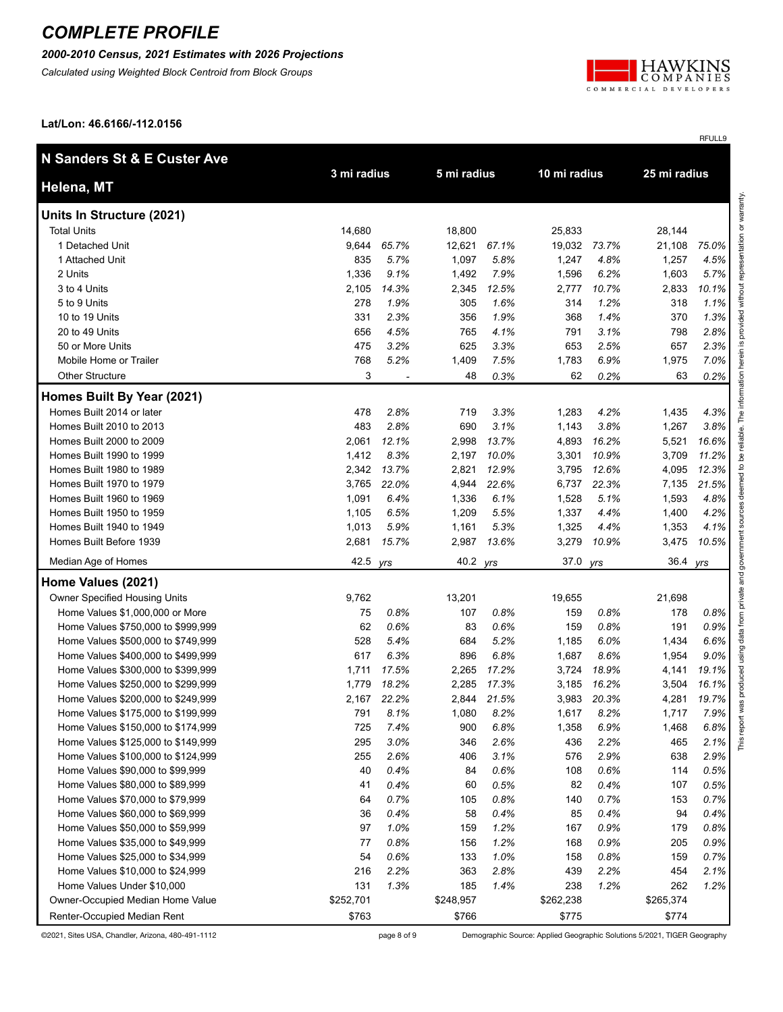#### *2000-2010 Census, 2021 Estimates with 2026 Projections*

*Calculated using Weighted Block Centroid from Block Groups*



RFULL9

**Lat/Lon: 46.6166/-112.0156**

| N Sanders St & E Custer Ave                                              |             |       |              |       |              |       |              |       |
|--------------------------------------------------------------------------|-------------|-------|--------------|-------|--------------|-------|--------------|-------|
| Helena, MT                                                               | 3 mi radius |       | 5 mi radius  |       | 10 mi radius |       | 25 mi radius |       |
| Units In Structure (2021)                                                |             |       |              |       |              |       |              |       |
| <b>Total Units</b>                                                       | 14,680      |       | 18,800       |       | 25,833       |       | 28,144       |       |
| 1 Detached Unit                                                          | 9,644       | 65.7% | 12,621       | 67.1% | 19,032 73.7% |       | 21,108       | 75.0% |
| 1 Attached Unit                                                          | 835         | 5.7%  | 1,097        | 5.8%  | 1,247        | 4.8%  | 1,257        | 4.5%  |
| 2 Units                                                                  | 1,336       | 9.1%  | 1,492        | 7.9%  | 1,596        | 6.2%  | 1,603        | 5.7%  |
| 3 to 4 Units                                                             | 2,105       | 14.3% | 2,345        | 12.5% | 2,777        | 10.7% | 2,833        | 10.1% |
| 5 to 9 Units                                                             | 278         | 1.9%  | 305          | 1.6%  | 314          | 1.2%  | 318          | 1.1%  |
| 10 to 19 Units                                                           | 331         | 2.3%  | 356          | 1.9%  | 368          | 1.4%  | 370          | 1.3%  |
| 20 to 49 Units                                                           | 656         | 4.5%  | 765          | 4.1%  | 791          | 3.1%  | 798          | 2.8%  |
| 50 or More Units                                                         | 475         | 3.2%  | 625          | 3.3%  | 653          | 2.5%  | 657          | 2.3%  |
| Mobile Home or Trailer                                                   | 768         | 5.2%  | 1,409        | 7.5%  | 1,783        | 6.9%  | 1,975        | 7.0%  |
| <b>Other Structure</b>                                                   | 3           |       | 48           | 0.3%  | 62           | 0.2%  | 63           | 0.2%  |
| Homes Built By Year (2021)                                               |             |       |              |       |              |       |              |       |
| Homes Built 2014 or later                                                | 478         | 2.8%  | 719          | 3.3%  | 1,283        | 4.2%  | 1,435        | 4.3%  |
| Homes Built 2010 to 2013                                                 | 483         | 2.8%  | 690          | 3.1%  | 1,143        | 3.8%  | 1,267        | 3.8%  |
| Homes Built 2000 to 2009                                                 | 2,061       | 12.1% | 2,998        | 13.7% | 4,893        | 16.2% | 5,521        | 16.6% |
| Homes Built 1990 to 1999                                                 | 1,412       | 8.3%  | 2,197        | 10.0% | 3,301        | 10.9% | 3,709        | 11.2% |
| Homes Built 1980 to 1989                                                 | 2,342       | 13.7% | 2,821        | 12.9% | 3,795        | 12.6% | 4,095        | 12.3% |
| Homes Built 1970 to 1979                                                 | 3,765       | 22.0% | 4,944        | 22.6% | 6,737        | 22.3% | 7,135        | 21.5% |
| Homes Built 1960 to 1969                                                 | 1,091       | 6.4%  | 1,336        | 6.1%  | 1,528        | 5.1%  | 1,593        | 4.8%  |
| Homes Built 1950 to 1959                                                 | 1,105       | 6.5%  | 1,209        | 5.5%  | 1,337        | 4.4%  | 1,400        | 4.2%  |
| Homes Built 1940 to 1949                                                 | 1,013       | 5.9%  | 1,161        | 5.3%  | 1,325        | 4.4%  | 1,353        | 4.1%  |
| Homes Built Before 1939                                                  | 2,681       | 15.7% | 2,987        | 13.6% | 3,279        | 10.9% | 3,475        | 10.5% |
| Median Age of Homes                                                      | 42.5        | yrs   | 40.2         | yrs   | 37.0         | yrs   | 36.4 yrs     |       |
| Home Values (2021)                                                       |             |       |              |       |              |       |              |       |
| Owner Specified Housing Units                                            | 9,762       |       | 13,201       |       | 19,655       |       | 21,698       |       |
| Home Values \$1,000,000 or More                                          | 75          | 0.8%  | 107          | 0.8%  | 159          | 0.8%  | 178          | 0.8%  |
|                                                                          | 62          | 0.6%  |              | 0.6%  | 159          | 0.8%  | 191          | 0.9%  |
| Home Values \$750,000 to \$999,999<br>Home Values \$500,000 to \$749,999 | 528         | 5.4%  | 83<br>684    | 5.2%  | 1,185        | 6.0%  | 1,434        | 6.6%  |
|                                                                          | 617         | 6.3%  |              | 6.8%  | 1,687        | 8.6%  | 1,954        | 9.0%  |
| Home Values \$400,000 to \$499,999<br>Home Values \$300,000 to \$399,999 | 1,711       | 17.5% | 896<br>2,265 | 17.2% | 3,724        | 18.9% |              | 19.1% |
|                                                                          |             |       |              |       |              |       | 4,141        |       |
| Home Values \$250,000 to \$299,999                                       | 1,779       | 18.2% | 2,285        | 17.3% | 3,185        | 16.2% | 3,504        | 16.1% |
| Home Values \$200,000 to \$249,999                                       | 2,167       | 22.2% | 2,844        | 21.5% | 3,983        | 20.3% | 4,281        | 19.7% |
| Home Values \$175,000 to \$199,999                                       | 791         | 8.1%  | 1,080        | 8.2%  | 1,617        | 8.2%  | 1,717        | 7.9%  |
| Home Values \$150,000 to \$174,999                                       | 725         | 7.4%  | 900          | 6.8%  | 1,358        | 6.9%  | 1,468        | 6.8%  |
| Home Values \$125,000 to \$149,999                                       | 295         | 3.0%  | 346          | 2.6%  | 436          | 2.2%  | 465          | 2.1%  |
| Home Values \$100,000 to \$124,999                                       | 255         | 2.6%  | 406          | 3.1%  | 576          | 2.9%  | 638          | 2.9%  |
| Home Values \$90,000 to \$99,999                                         | 40          | 0.4%  | 84           | 0.6%  | 108          | 0.6%  | 114          | 0.5%  |
| Home Values \$80,000 to \$89,999                                         | 41          | 0.4%  | 60           | 0.5%  | 82           | 0.4%  | 107          | 0.5%  |
| Home Values \$70,000 to \$79,999                                         | 64          | 0.7%  | 105          | 0.8%  | 140          | 0.7%  | 153          | 0.7%  |
| Home Values \$60,000 to \$69,999                                         | 36          | 0.4%  | 58           | 0.4%  | 85           | 0.4%  | 94           | 0.4%  |
| Home Values \$50,000 to \$59,999                                         | 97          | 1.0%  | 159          | 1.2%  | 167          | 0.9%  | 179          | 0.8%  |
| Home Values \$35,000 to \$49,999                                         | 77          | 0.8%  | 156          | 1.2%  | 168          | 0.9%  | 205          | 0.9%  |
| Home Values \$25,000 to \$34,999                                         | 54          | 0.6%  | 133          | 1.0%  | 158          | 0.8%  | 159          | 0.7%  |
| Home Values \$10,000 to \$24,999                                         | 216         | 2.2%  | 363          | 2.8%  | 439          | 2.2%  | 454          | 2.1%  |
| Home Values Under \$10,000                                               | 131         | 1.3%  | 185          | 1.4%  | 238          | 1.2%  | 262          | 1.2%  |
| Owner-Occupied Median Home Value                                         | \$252,701   |       | \$248,957    |       | \$262,238    |       | \$265,374    |       |
| Renter-Occupied Median Rent                                              | \$763       |       | \$766        |       | \$775        |       | \$774        |       |

©2021, Sites USA, Chandler, Arizona, 480-491-1112 page 8 of 9 Demographic Source: Applied Geographic Solutions 5/2021, TIGER Geography